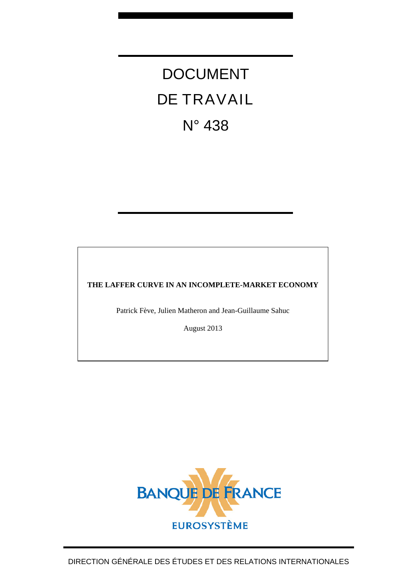# DOCUMENT DE TRAVAIL N° 438

# **THE LAFFER CURVE IN AN INCOMPLETE-MARKET ECONOMY**

Patrick Fève, Julien Matheron and Jean-Guillaume Sahuc

August 2013

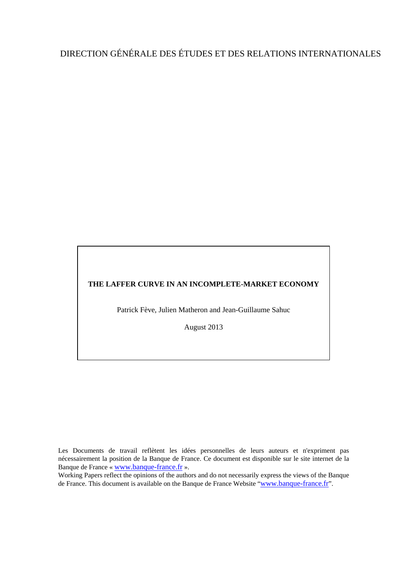# DIRECTION GÉNÉRALE DES ÉTUDES ET DES RELATIONS INTERNATIONALES

#### **THE LAFFER CURVE IN AN INCOMPLETE-MARKET ECONOMY**

Patrick Fève, Julien Matheron and Jean-Guillaume Sahuc

August 2013

Les Documents de travail reflètent les idées personnelles de leurs auteurs et n'expriment pas nécessairement la position de la Banque de France. Ce document est disponible sur le site internet de la Banque de France « [www.banque-france.fr](http://www.banque-france.fr/) ».

Working Papers reflect the opinions of the authors and do not necessarily express the views of the Banque de France. This document is available on the Banque de France Website "[www.banque-france.fr](http://www.banque-france.fr/)".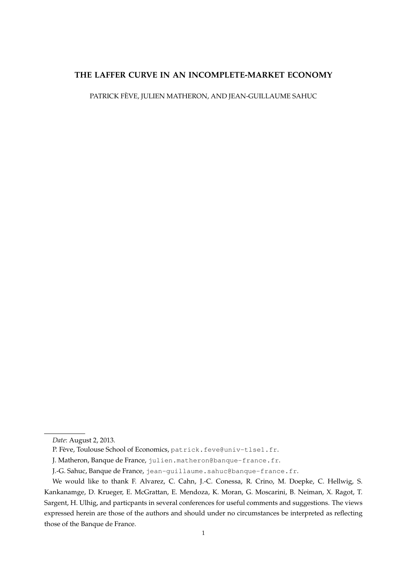### **THE LAFFER CURVE IN AN INCOMPLETE-MARKET ECONOMY**

PATRICK FEVE, JULIEN MATHERON, AND JEAN-GUILLAUME SAHUC `

*Date*: August 2, 2013.

P. Fève, Toulouse School of Economics, patrick.feve@univ-tlse1.fr.

J. Matheron, Banque de France, julien.matheron@banque-france.fr.

J.-G. Sahuc, Banque de France, jean-guillaume.sahuc@banque-france.fr.

We would like to thank F. Alvarez, C. Cahn, J.-C. Conessa, R. Crino, M. Doepke, C. Hellwig, S. Kankanamge, D. Krueger, E. McGrattan, E. Mendoza, K. Moran, G. Moscarini, B. Neiman, X. Ragot, T. Sargent, H. Ulhig, and particpants in several conferences for useful comments and suggestions. The views expressed herein are those of the authors and should under no circumstances be interpreted as reflecting those of the Banque de France.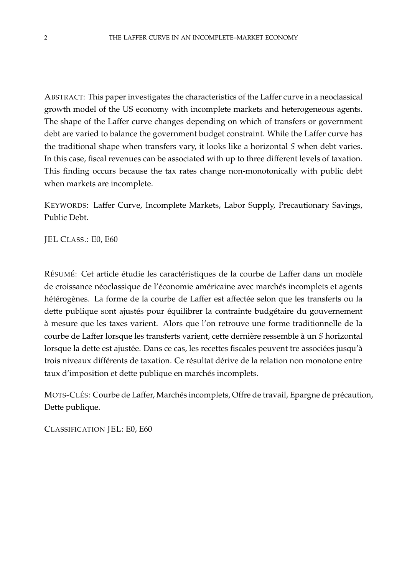ABSTRACT: This paper investigates the characteristics of the Laffer curve in a neoclassical growth model of the US economy with incomplete markets and heterogeneous agents. The shape of the Laffer curve changes depending on which of transfers or government debt are varied to balance the government budget constraint. While the Laffer curve has the traditional shape when transfers vary, it looks like a horizontal *S* when debt varies. In this case, fiscal revenues can be associated with up to three different levels of taxation. This finding occurs because the tax rates change non-monotonically with public debt when markets are incomplete.

KEYWORDS: Laffer Curve, Incomplete Markets, Labor Supply, Precautionary Savings, Public Debt.

JEL CLASS.: E0, E60

RÉSUMÉ: Cet article étudie les caractéristiques de la courbe de Laffer dans un modèle de croissance néoclassique de l'économie américaine avec marchés incomplets et agents hétérogènes. La forme de la courbe de Laffer est affectée selon que les transferts ou la dette publique sont ajustés pour équilibrer la contrainte budgétaire du gouvernement a mesure que les taxes varient. Alors que l'on retrouve une forme traditionnelle de la ` courbe de Laffer lorsque les transferts varient, cette dernière ressemble à un S horizontal lorsque la dette est ajustée. Dans ce cas, les recettes fiscales peuvent tre associées jusqu'à trois niveaux différents de taxation. Ce résultat dérive de la relation non monotone entre taux d'imposition et dette publique en marchés incomplets.

MOTS-CLÉS: Courbe de Laffer, Marchés incomplets, Offre de travail, Epargne de précaution, Dette publique.

CLASSIFICATION JEL: E0, E60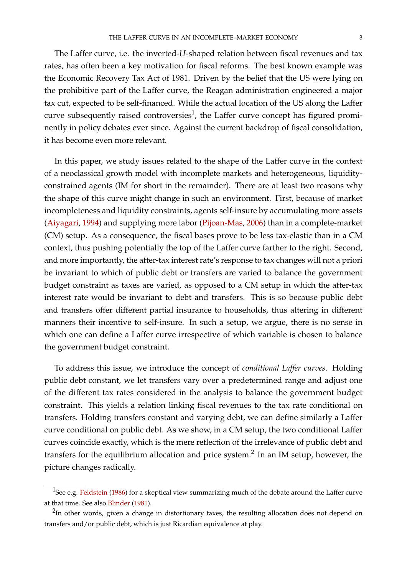The Laffer curve, i.e. the inverted-*U*-shaped relation between fiscal revenues and tax rates, has often been a key motivation for fiscal reforms. The best known example was the Economic Recovery Tax Act of 1981. Driven by the belief that the US were lying on the prohibitive part of the Laffer curve, the Reagan administration engineered a major tax cut, expected to be self-financed. While the actual location of the US along the Laffer curve subsequently raised controversies<sup>[1](#page-4-0)</sup>, the Laffer curve concept has figured prominently in policy debates ever since. Against the current backdrop of fiscal consolidation, it has become even more relevant.

In this paper, we study issues related to the shape of the Laffer curve in the context of a neoclassical growth model with incomplete markets and heterogeneous, liquidityconstrained agents (IM for short in the remainder). There are at least two reasons why the shape of this curve might change in such an environment. First, because of market incompleteness and liquidity constraints, agents self-insure by accumulating more assets [\(Aiyagari,](#page-28-0) [1994\)](#page-28-0) and supplying more labor [\(Pijoan-Mas,](#page-28-1) [2006\)](#page-28-1) than in a complete-market (CM) setup. As a consequence, the fiscal bases prove to be less tax-elastic than in a CM context, thus pushing potentially the top of the Laffer curve farther to the right. Second, and more importantly, the after-tax interest rate's response to tax changes will not a priori be invariant to which of public debt or transfers are varied to balance the government budget constraint as taxes are varied, as opposed to a CM setup in which the after-tax interest rate would be invariant to debt and transfers. This is so because public debt and transfers offer different partial insurance to households, thus altering in different manners their incentive to self-insure. In such a setup, we argue, there is no sense in which one can define a Laffer curve irrespective of which variable is chosen to balance the government budget constraint.

To address this issue, we introduce the concept of *conditional Laffer curves*. Holding public debt constant, we let transfers vary over a predetermined range and adjust one of the different tax rates considered in the analysis to balance the government budget constraint. This yields a relation linking fiscal revenues to the tax rate conditional on transfers. Holding transfers constant and varying debt, we can define similarly a Laffer curve conditional on public debt. As we show, in a CM setup, the two conditional Laffer curves coincide exactly, which is the mere reflection of the irrelevance of public debt and transfers for the equilibrium allocation and price system.<sup>[2](#page-4-1)</sup> In an IM setup, however, the picture changes radically.

<span id="page-4-0"></span><sup>&</sup>lt;sup>1</sup>See e.g. [Feldstein](#page-28-2) [\(1986\)](#page-28-2) for a skeptical view summarizing much of the debate around the Laffer curve at that time. See also [Blinder](#page-28-3) [\(1981\)](#page-28-3).

<span id="page-4-1"></span> $^{2}$ In other words, given a change in distortionary taxes, the resulting allocation does not depend on transfers and/or public debt, which is just Ricardian equivalence at play.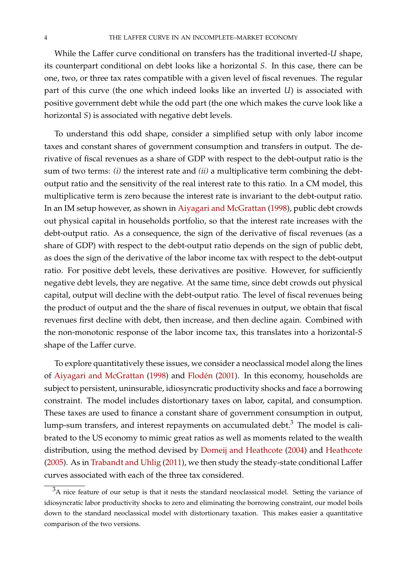While the Laffer curve conditional on transfers has the traditional inverted-*U* shape, its counterpart conditional on debt looks like a horizontal *S*. In this case, there can be one, two, or three tax rates compatible with a given level of fiscal revenues. The regular part of this curve (the one which indeed looks like an inverted *U*) is associated with positive government debt while the odd part (the one which makes the curve look like a horizontal *S*) is associated with negative debt levels.

To understand this odd shape, consider a simplified setup with only labor income taxes and constant shares of government consumption and transfers in output. The derivative of fiscal revenues as a share of GDP with respect to the debt-output ratio is the sum of two terms: *(i)* the interest rate and *(ii)* a multiplicative term combining the debtoutput ratio and the sensitivity of the real interest rate to this ratio. In a CM model, this multiplicative term is zero because the interest rate is invariant to the debt-output ratio. In an IM setup however, as shown in [Aiyagari and McGrattan](#page-28-4) [\(1998\)](#page-28-4), public debt crowds out physical capital in households portfolio, so that the interest rate increases with the debt-output ratio. As a consequence, the sign of the derivative of fiscal revenues (as a share of GDP) with respect to the debt-output ratio depends on the sign of public debt, as does the sign of the derivative of the labor income tax with respect to the debt-output ratio. For positive debt levels, these derivatives are positive. However, for sufficiently negative debt levels, they are negative. At the same time, since debt crowds out physical capital, output will decline with the debt-output ratio. The level of fiscal revenues being the product of output and the the share of fiscal revenues in output, we obtain that fiscal revenues first decline with debt, then increase, and then decline again. Combined with the non-monotonic response of the labor income tax, this translates into a horizontal-*S* shape of the Laffer curve.

To explore quantitatively these issues, we consider a neoclassical model along the lines of [Aiyagari and McGrattan](#page-28-4) [\(1998\)](#page-28-4) and Flodén [\(2001\)](#page-28-5). In this economy, households are subject to persistent, uninsurable, idiosyncratic productivity shocks and face a borrowing constraint. The model includes distortionary taxes on labor, capital, and consumption. These taxes are used to finance a constant share of government consumption in output, lump-sum transfers, and interest repayments on accumulated debt.[3](#page-5-0) The model is calibrated to the US economy to mimic great ratios as well as moments related to the wealth distribution, using the method devised by [Domeij and Heathcote](#page-28-6) [\(2004\)](#page-28-6) and [Heathcote](#page-28-7) [\(2005\)](#page-28-7). As in [Trabandt and Uhlig](#page-29-0) [\(2011\)](#page-29-0), we then study the steady-state conditional Laffer curves associated with each of the three tax considered.

<span id="page-5-0"></span><sup>&</sup>lt;sup>3</sup>A nice feature of our setup is that it nests the standard neoclassical model. Setting the variance of idiosyncratic labor productivity shocks to zero and eliminating the borrowing constraint, our model boils down to the standard neoclassical model with distortionary taxation. This makes easier a quantitative comparison of the two versions.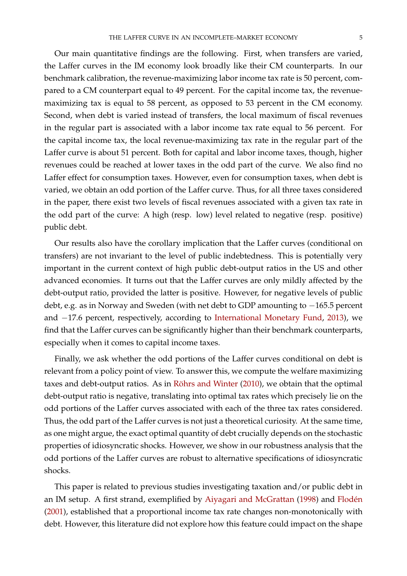Our main quantitative findings are the following. First, when transfers are varied, the Laffer curves in the IM economy look broadly like their CM counterparts. In our benchmark calibration, the revenue-maximizing labor income tax rate is 50 percent, compared to a CM counterpart equal to 49 percent. For the capital income tax, the revenuemaximizing tax is equal to 58 percent, as opposed to 53 percent in the CM economy. Second, when debt is varied instead of transfers, the local maximum of fiscal revenues in the regular part is associated with a labor income tax rate equal to 56 percent. For the capital income tax, the local revenue-maximizing tax rate in the regular part of the Laffer curve is about 51 percent. Both for capital and labor income taxes, though, higher revenues could be reached at lower taxes in the odd part of the curve. We also find no Laffer effect for consumption taxes. However, even for consumption taxes, when debt is varied, we obtain an odd portion of the Laffer curve. Thus, for all three taxes considered in the paper, there exist two levels of fiscal revenues associated with a given tax rate in the odd part of the curve: A high (resp. low) level related to negative (resp. positive) public debt.

Our results also have the corollary implication that the Laffer curves (conditional on transfers) are not invariant to the level of public indebtedness. This is potentially very important in the current context of high public debt-output ratios in the US and other advanced economies. It turns out that the Laffer curves are only mildly affected by the debt-output ratio, provided the latter is positive. However, for negative levels of public debt, e.g. as in Norway and Sweden (with net debt to GDP amounting to −165.5 percent and −17.6 percent, respectively, according to [International Monetary Fund,](#page-28-8) [2013\)](#page-28-8), we find that the Laffer curves can be significantly higher than their benchmark counterparts, especially when it comes to capital income taxes.

Finally, we ask whether the odd portions of the Laffer curves conditional on debt is relevant from a policy point of view. To answer this, we compute the welfare maximizing taxes and debt-output ratios. As in Röhrs and Winter [\(2010\)](#page-29-1), we obtain that the optimal debt-output ratio is negative, translating into optimal tax rates which precisely lie on the odd portions of the Laffer curves associated with each of the three tax rates considered. Thus, the odd part of the Laffer curves is not just a theoretical curiosity. At the same time, as one might argue, the exact optimal quantity of debt crucially depends on the stochastic properties of idiosyncratic shocks. However, we show in our robustness analysis that the odd portions of the Laffer curves are robust to alternative specifications of idiosyncratic shocks.

This paper is related to previous studies investigating taxation and/or public debt in an IM setup. A first strand, exemplified by [Aiyagari and McGrattan](#page-28-4) [\(1998\)](#page-28-4) and [Floden´](#page-28-5) [\(2001\)](#page-28-5), established that a proportional income tax rate changes non-monotonically with debt. However, this literature did not explore how this feature could impact on the shape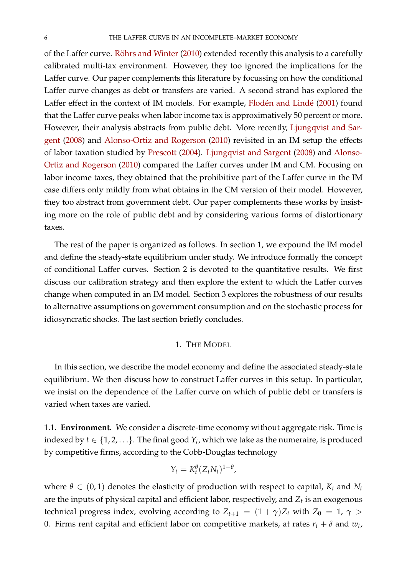of the Laffer curve. Röhrs and Winter [\(2010\)](#page-29-1) extended recently this analysis to a carefully calibrated multi-tax environment. However, they too ignored the implications for the Laffer curve. Our paper complements this literature by focussing on how the conditional Laffer curve changes as debt or transfers are varied. A second strand has explored the Laffer effect in the context of IM models. For example, Flodén and Lindé [\(2001\)](#page-28-9) found that the Laffer curve peaks when labor income tax is approximatively 50 percent or more. However, their analysis abstracts from public debt. More recently, [Ljungqvist and Sar](#page-28-10)[gent](#page-28-10) [\(2008\)](#page-28-10) and [Alonso-Ortiz and Rogerson](#page-28-11) [\(2010\)](#page-28-11) revisited in an IM setup the effects of labor taxation studied by [Prescott](#page-29-2) [\(2004\)](#page-29-2). [Ljungqvist and Sargent](#page-28-10) [\(2008\)](#page-28-10) and [Alonso-](#page-28-11)[Ortiz and Rogerson](#page-28-11) [\(2010\)](#page-28-11) compared the Laffer curves under IM and CM. Focusing on labor income taxes, they obtained that the prohibitive part of the Laffer curve in the IM case differs only mildly from what obtains in the CM version of their model. However, they too abstract from government debt. Our paper complements these works by insisting more on the role of public debt and by considering various forms of distortionary taxes.

The rest of the paper is organized as follows. In section [1,](#page-7-0) we expound the IM model and define the steady-state equilibrium under study. We introduce formally the concept of conditional Laffer curves. Section [2](#page-12-0) is devoted to the quantitative results. We first discuss our calibration strategy and then explore the extent to which the Laffer curves change when computed in an IM model. Section [3](#page-23-0) explores the robustness of our results to alternative assumptions on government consumption and on the stochastic process for idiosyncratic shocks. The last section briefly concludes.

#### 1. THE MODEL

<span id="page-7-0"></span>In this section, we describe the model economy and define the associated steady-state equilibrium. We then discuss how to construct Laffer curves in this setup. In particular, we insist on the dependence of the Laffer curve on which of public debt or transfers is varied when taxes are varied.

1.1. **Environment.** We consider a discrete-time economy without aggregate risk. Time is indexed by  $t \in \{1, 2, \ldots\}$ . The final good  $Y_t$ , which we take as the numeraire, is produced by competitive firms, according to the Cobb-Douglas technology

$$
Y_t = K_t^{\theta} (Z_t N_t)^{1-\theta},
$$

where  $\theta \in (0, 1)$  denotes the elasticity of production with respect to capital,  $K_t$  and  $N_t$ are the inputs of physical capital and efficient labor, respectively, and *Z<sup>t</sup>* is an exogenous technical progress index, evolving according to  $Z_{t+1} = (1 + \gamma)Z_t$  with  $Z_0 = 1$ ,  $\gamma >$ 0. Firms rent capital and efficient labor on competitive markets, at rates  $r_t + \delta$  and  $w_t$ ,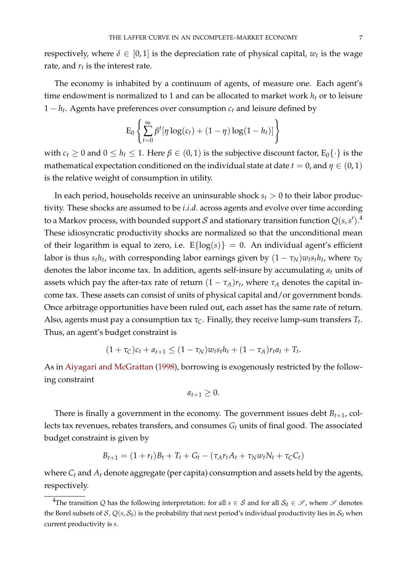respectively, where  $\delta \in [0,1]$  is the depreciation rate of physical capital,  $w_t$  is the wage rate, and  $r_t$  is the interest rate.

The economy is inhabited by a continuum of agents, of measure one. Each agent's time endowment is normalized to 1 and can be allocated to market work  $h_t$  or to leisure 1 − *h<sup>t</sup>* . Agents have preferences over consumption *c<sup>t</sup>* and leisure defined by

$$
\mathrm{E}_0\left\{\sum_{t=0}^{\infty}\beta^t[\eta\log(c_t)+(1-\eta)\log(1-h_t)]\right\}
$$

with  $c_t \geq 0$  and  $0 \leq h_t \leq 1$ . Here  $\beta \in (0,1)$  is the subjective discount factor,  $E_0\{\cdot\}$  is the mathematical expectation conditioned on the individual state at date  $t=0$  , and  $\eta\in(0,1)$ is the relative weight of consumption in utility.

In each period, households receive an uninsurable shock *s<sup>t</sup>* > 0 to their labor productivity. These shocks are assumed to be *i*.*i*.*d*. across agents and evolve over time according to a Markov process, with bounded support  ${\cal S}$  and stationary transition function  $Q(s,s')$ .<sup>[4](#page-8-0)</sup> These idiosyncratic productivity shocks are normalized so that the unconditional mean of their logarithm is equal to zero, i.e.  $E{log(s)} = 0$ . An individual agent's efficient labor is thus  $s_t h_t$ , with corresponding labor earnings given by  $(1 - \tau_N)w_ts_th_t$ , where  $\tau_N$ denotes the labor income tax. In addition, agents self-insure by accumulating *a<sup>t</sup>* units of assets which pay the after-tax rate of return  $(1 - \tau_A)r_t$ , where  $\tau_A$  denotes the capital income tax. These assets can consist of units of physical capital and/or government bonds. Once arbitrage opportunities have been ruled out, each asset has the same rate of return. Also, agents must pay a consumption tax  $\tau_C.$  Finally, they receive lump-sum transfers  $T_t.$ Thus, an agent's budget constraint is

$$
(1+\tau_C)c_t + a_{t+1} \le (1-\tau_N)w_ts_th_t + (1-\tau_A)r_ta_t + T_t.
$$

As in [Aiyagari and McGrattan](#page-28-4) [\(1998\)](#page-28-4), borrowing is exogenously restricted by the following constraint

$$
a_{t+1}\geq 0.
$$

There is finally a government in the economy. The government issues debt  $B_{t+1}$ , collects tax revenues, rebates transfers, and consumes *G<sup>t</sup>* units of final good. The associated budget constraint is given by

$$
B_{t+1} = (1 + r_t)B_t + T_t + G_t - (\tau_A r_t A_t + \tau_N w_t N_t + \tau_C C_t)
$$

where *C<sup>t</sup>* and *A<sup>t</sup>* denote aggregate (per capita) consumption and assets held by the agents, respectively.

<span id="page-8-0"></span><sup>&</sup>lt;sup>4</sup>The transition *Q* has the following interpretation: for all *s*  $\in$  *S* and for all *S*<sup>0</sup>  $\in$  *S*, where *S* denotes the Borel subsets of S,  $Q(s, S_0)$  is the probability that next period's individual productivity lies in  $S_0$  when current productivity is *s*.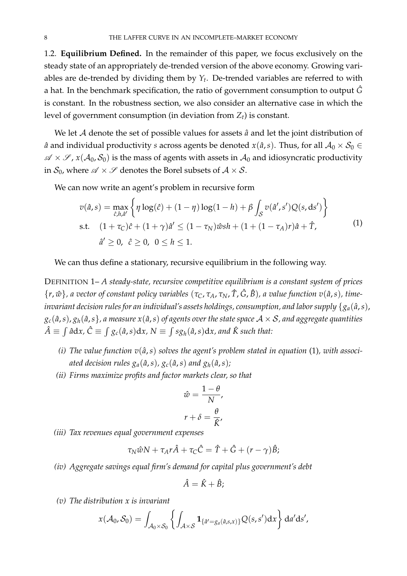1.2. **Equilibrium Defined.** In the remainder of this paper, we focus exclusively on the steady state of an appropriately de-trended version of the above economy. Growing variables are de-trended by dividing them by *Y<sup>t</sup>* . De-trended variables are referred to with a hat. In the benchmark specification, the ratio of government consumption to output  $\hat{G}$ is constant. In the robustness section, we also consider an alternative case in which the level of government consumption (in deviation from *Zt*) is constant.

We let  $A$  denote the set of possible values for assets  $\hat{a}$  and let the joint distribution of  $\hat{a}$  and individual productivity *s* across agents be denoted *x*( $\hat{a}$ ,*s*). Thus, for all  $A_0 \times S_0 \in$  $\mathscr{A} \times \mathscr{S}$ ,  $x(\mathcal{A}_0, \mathcal{S}_0)$  is the mass of agents with assets in  $\mathcal{A}_0$  and idiosyncratic productivity in  $S_0$ , where  $\mathscr{A} \times \mathscr{S}$  denotes the Borel subsets of  $\mathscr{A} \times \mathscr{S}$ .

We can now write an agent's problem in recursive form

<span id="page-9-0"></span>
$$
v(\hat{a}, s) = \max_{\hat{c}, h, \hat{a}'} \left\{ \eta \log(\hat{c}) + (1 - \eta) \log(1 - h) + \beta \int_{\mathcal{S}} v(\hat{a}', s') Q(s, ds') \right\}
$$
  
s.t. 
$$
(1 + \tau_{\mathcal{C}})\hat{c} + (1 + \gamma)\hat{a}' \le (1 - \tau_N)\hat{w}sh + (1 + (1 - \tau_A)r)\hat{a} + \hat{T},
$$

$$
\hat{a}' \ge 0, \quad \hat{c} \ge 0, \quad 0 \le h \le 1.
$$
 (1)

We can thus define a stationary, recursive equilibrium in the following way.

DEFINITION 1– *A steady-state, recursive competitive equilibrium is a constant system of prices*  $\{r, \hat{w}\}$ , a vector of constant policy variables  $(\tau_C, \tau_A, \tau_N, \hat{T}, \hat{G}, \hat{B})$ , a value function  $v(\hat{a}, s)$ , time*invariant decision rules for an individual's assets holdings, consumption, and labor supply*  $\{g_a(\hat{a}, s),\}$  $g_c(\hat{a}, s)$ ,  $g_h(\hat{a}, s)$ , a measure  $x(\hat{a}, s)$  of agents over the state space  $A \times S$ , and aggregate quantities  $\hat{A}\equiv\int\hat{a}\text{d}x$ ,  $\hat{C}\equiv\int g_{c}(\hat{a},s)\text{d}x$ ,  $N\equiv\int sg_{h}(\hat{a},s)\text{d}x$ , and  $\hat{K}$  such that:

- (*i*) The value function  $v(\hat{a}, s)$  solves the agent's problem stated in equation [\(1\)](#page-9-0), with associ*ated decision rules*  $g_a(\hat{a}, s)$ *,*  $g_c(\hat{a}, s)$  *and*  $g_h(\hat{a}, s)$ *;*
- *(ii) Firms maximize profits and factor markets clear, so that*

$$
\hat{w} = \frac{1 - \theta}{N},
$$

$$
r + \delta = \frac{\theta}{\hat{K}},
$$

*(iii) Tax revenues equal government expenses*

$$
\tau_N \hat{w} N + \tau_A r \hat{A} + \tau_C \hat{C} = \hat{T} + \hat{G} + (r - \gamma) \hat{B};
$$

*(iv) Aggregate savings equal firm's demand for capital plus government's debt*

$$
\hat{A} = \hat{K} + \hat{B};
$$

*(v) The distribution x is invariant*

$$
x(\mathcal{A}_0,\mathcal{S}_0)=\int_{\mathcal{A}_0\times\mathcal{S}_0}\left\{\int_{\mathcal{A}\times\mathcal{S}}\mathbf{1}_{\{\hat{a}'=g_a(\hat{a},s,x)\}}Q(s,s')\mathrm{d} x\right\}\mathrm{d} a'\mathrm{d} s',
$$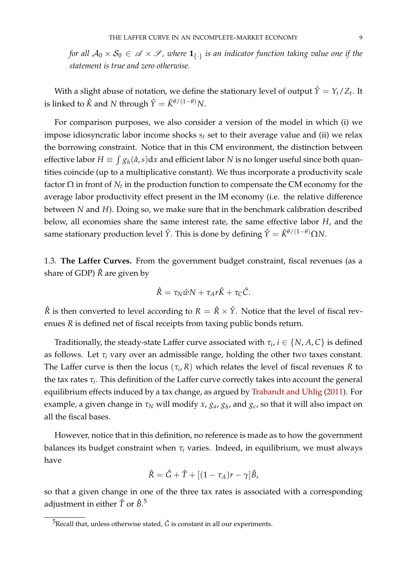*for all*  $A_0 \times S_0 \in \mathcal{A} \times \mathcal{S}$ , where  $\mathbf{1}_{\{.\}}$  *is an indicator function taking value one if the statement is true and zero otherwise.*

With a slight abuse of notation, we define the stationary level of output  $\hat{Y} = Y_t/Z_t$ . It is linked to  $\hat{K}$  and *N* through  $\hat{Y} = \hat{K}^{\theta/(1-\theta)}N$ .

For comparison purposes, we also consider a version of the model in which (i) we impose idiosyncratic labor income shocks *s<sup>t</sup>* set to their average value and (ii) we relax the borrowing constraint. Notice that in this CM environment, the distinction between effective labor  $H \equiv \int g_h(\hat{a},s)\mathrm{d}x$  and efficient labor  $N$  is no longer useful since both quantities coincide (up to a multiplicative constant). We thus incorporate a productivity scale factor  $\Omega$  in front of  $N_t$  in the production function to compensate the CM economy for the average labor productivity effect present in the IM economy (i.e. the relative difference between *N* and *H*). Doing so, we make sure that in the benchmark calibration described below, all economies share the same interest rate, the same effective labor *H*, and the same stationary production level  $\hat{Y}$ . This is done by defining  $\hat{Y} = \hat{K}^{\theta/(1-\theta)} \Omega N$ .

1.3. **The Laffer Curves.** From the government budget constraint, fiscal revenues (as a share of GDP) *R*ˆ are given by

$$
\hat{R} = \tau_N \hat{w} N + \tau_A r \hat{K} + \tau_C \hat{C}.
$$

 $\hat{R}$  is then converted to level according to  $R = \hat{R} \times \hat{Y}$ . Notice that the level of fiscal revenues *R* is defined net of fiscal receipts from taxing public bonds return.

Traditionally, the steady-state Laffer curve associated with  $\tau_i$ ,  $i \in \{N, A, C\}$  is defined as follows. Let *τ<sup>i</sup>* vary over an admissible range, holding the other two taxes constant. The Laffer curve is then the locus  $(\tau_i, R)$  which relates the level of fiscal revenues  $R$  to the tax rates *τ<sup>i</sup>* . This definition of the Laffer curve correctly takes into account the general equilibrium effects induced by a tax change, as argued by [Trabandt and Uhlig](#page-29-0) [\(2011\)](#page-29-0). For example, a given change in *τ<sup>N</sup>* will modify *x*, *ga*, *g<sup>h</sup>* , and *gc*, so that it will also impact on all the fiscal bases.

However, notice that in this definition, no reference is made as to how the government balances its budget constraint when  $\tau_i$  varies. Indeed, in equilibrium, we must always have

$$
\hat{R} = \hat{G} + \hat{T} + [(1 - \tau_A)r - \gamma]\hat{B},
$$

so that a given change in one of the three tax rates is associated with a corresponding adjustment in either  $\hat T$  or  $\hat B_\cdot{}^5$  $\hat B_\cdot{}^5$ 

<span id="page-10-0"></span> $5$ Recall that, unless otherwise stated,  $\hat{G}$  is constant in all our experiments.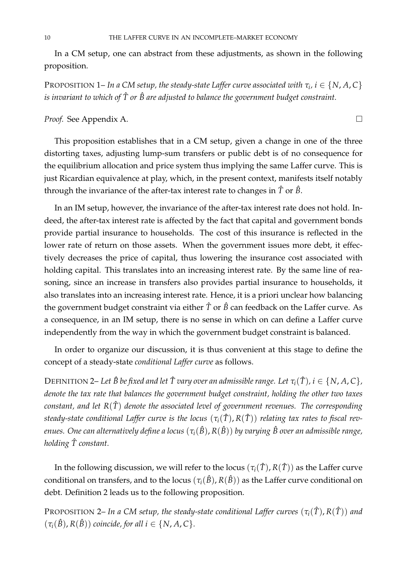In a CM setup, one can abstract from these adjustments, as shown in the following proposition.

<code>PROPOSITION 1– In a CM setup, the steady-state Laffer curve associated with  $\tau_i$ , i  $\in \{N, A, C\}$ </code> *is invariant to which of*  $\hat{T}$  *or*  $\hat{B}$  *are adjusted to balance the government budget constraint.* 

# *Proof.* See Appendix [A.](#page-30-0)

This proposition establishes that in a CM setup, given a change in one of the three distorting taxes, adjusting lump-sum transfers or public debt is of no consequence for the equilibrium allocation and price system thus implying the same Laffer curve. This is just Ricardian equivalence at play, which, in the present context, manifests itself notably through the invariance of the after-tax interest rate to changes in *T*ˆ or *B*ˆ.

In an IM setup, however, the invariance of the after-tax interest rate does not hold. Indeed, the after-tax interest rate is affected by the fact that capital and government bonds provide partial insurance to households. The cost of this insurance is reflected in the lower rate of return on those assets. When the government issues more debt, it effectively decreases the price of capital, thus lowering the insurance cost associated with holding capital. This translates into an increasing interest rate. By the same line of reasoning, since an increase in transfers also provides partial insurance to households, it also translates into an increasing interest rate. Hence, it is a priori unclear how balancing the government budget constraint via either  $\hat{T}$  or  $\hat{B}$  can feedback on the Laffer curve. As a consequence, in an IM setup, there is no sense in which on can define a Laffer curve independently from the way in which the government budget constraint is balanced.

In order to organize our discussion, it is thus convenient at this stage to define the concept of a steady-state *conditional Laffer curve* as follows.

**DEFINITION 2– Let**  $\hat{B}$  be fixed and let  $\hat{T}$  vary over an admissible range. Let  $\tau_i(\hat{T})$ ,  $i \in \{N, A, C\}$ , *denote the tax rate that balances the government budget constraint, holding the other two taxes constant, and let R*(*T*ˆ) *denote the associated level of government revenues. The corresponding steady-state conditional Laffer curve is the locus* (*τi*(*T*ˆ), *R*(*T*ˆ)) *relating tax rates to fiscal revenues. One can alternatively define a locus*  $(\tau_i(\hat{B}), R(\hat{B}))$  *by varying*  $\hat{B}$  *over an admissible range, holding T constant.* ˆ

In the following discussion, we will refer to the locus  $(\tau_i(\hat{T}), R(\hat{T}))$  as the Laffer curve conditional on transfers, and to the locus  $(\tau_i(\hat{B}), R(\hat{B}))$  as the Laffer curve conditional on debt. Definition 2 leads us to the following proposition.

PROPOSITION 2– *In a CM setup, the steady-state conditional Laffer curves*  $(\tau_i(\hat{T}), R(\hat{T}))$  and  $(\tau_i(\hat{B}), R(\hat{B}))$  *coincide, for all i*  $\in \{N, A, C\}$ *.*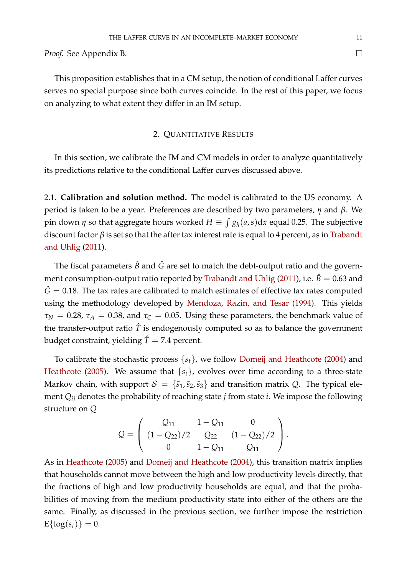*Proof.* See Appendix [B.](#page-30-1)

This proposition establishes that in a CM setup, the notion of conditional Laffer curves serves no special purpose since both curves coincide. In the rest of this paper, we focus on analyzing to what extent they differ in an IM setup.

#### 2. QUANTITATIVE RESULTS

<span id="page-12-0"></span>In this section, we calibrate the IM and CM models in order to analyze quantitatively its predictions relative to the conditional Laffer curves discussed above.

2.1. **Calibration and solution method.** The model is calibrated to the US economy. A period is taken to be a year. Preferences are described by two parameters, *η* and *β*. We pin down  $\eta$  so that aggregate hours worked  $H \equiv \int g_h(a,s) \mathrm{d} x$  equal 0.25. The subjective discount factor *β* is set so that the after tax interest rate is equal to 4 percent, as in [Trabandt](#page-29-0) [and Uhlig](#page-29-0) [\(2011\)](#page-29-0).

The fiscal parameters  $\hat{B}$  and  $\hat{G}$  are set to match the debt-output ratio and the govern-ment consumption-output ratio reported by [Trabandt and Uhlig](#page-29-0) [\(2011\)](#page-29-0), i.e.  $\hat{B} = 0.63$  and  $\hat{G} = 0.18$ . The tax rates are calibrated to match estimates of effective tax rates computed using the methodology developed by [Mendoza, Razin, and Tesar](#page-28-12) [\(1994\)](#page-28-12). This yields  $\tau_N = 0.28$ ,  $\tau_A = 0.38$ , and  $\tau_C = 0.05$ . Using these parameters, the benchmark value of the transfer-output ratio  $\hat{T}$  is endogenously computed so as to balance the government budget constraint, yielding  $\hat{T} = 7.4$  percent.

To calibrate the stochastic process {*st*}, we follow [Domeij and Heathcote](#page-28-6) [\(2004\)](#page-28-6) and [Heathcote](#page-28-7) [\(2005\)](#page-28-7). We assume that  ${s<sub>t</sub>}$ , evolves over time according to a three-state Markov chain, with support  $S = {\bar{s}_1, \bar{s}_2, \bar{s}_3}$  and transition matrix *Q*. The typical element *Qij* denotes the probability of reaching state *j* from state *i*. We impose the following structure on *Q*

$$
Q = \left( \begin{array}{ccc} Q_{11} & 1 - Q_{11} & 0 \\ (1 - Q_{22})/2 & Q_{22} & (1 - Q_{22})/2 \\ 0 & 1 - Q_{11} & Q_{11} \end{array} \right).
$$

As in [Heathcote](#page-28-7) [\(2005\)](#page-28-7) and [Domeij and Heathcote](#page-28-6) [\(2004\)](#page-28-6), this transition matrix implies that households cannot move between the high and low productivity levels directly, that the fractions of high and low productivity households are equal, and that the probabilities of moving from the medium productivity state into either of the others are the same. Finally, as discussed in the previous section, we further impose the restriction  $E{\log(s_t)} = 0.$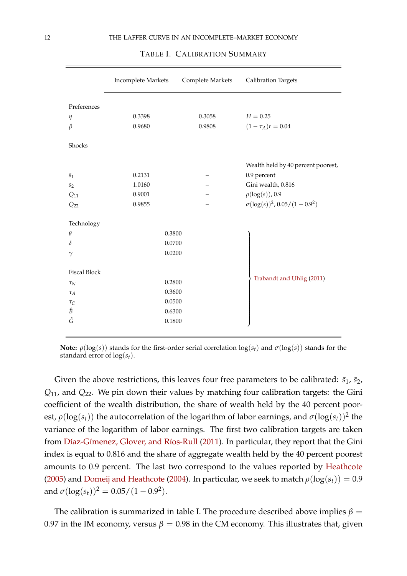|                     | Incomplete Markets | Complete Markets | <b>Calibration Targets</b>                         |
|---------------------|--------------------|------------------|----------------------------------------------------|
| Preferences         |                    |                  |                                                    |
| $\eta$              | 0.3398             | 0.3058           | $H = 0.25$                                         |
| $\beta$             | 0.9680             | 0.9808           | $(1-\tau_A)r=0.04$                                 |
| Shocks              |                    |                  |                                                    |
|                     |                    |                  | Wealth held by 40 percent poorest,                 |
| $\bar{s}_1$         | 0.2131             |                  | 0.9 percent                                        |
| $\bar{s}_2$         | 1.0160             |                  | Gini wealth, 0.816                                 |
| $Q_{11}$            | 0.9001             |                  | $\rho(\log(s)), 0.9$                               |
| $Q_{22}$            | 0.9855             |                  | $\sigma(\log(s))^2$ , 0.05/(1 - 0.9 <sup>2</sup> ) |
|                     |                    |                  |                                                    |
| Technology          |                    |                  |                                                    |
| $\theta$            | 0.3800             |                  |                                                    |
| δ                   | 0.0700             |                  |                                                    |
| $\gamma$            | 0.0200             |                  |                                                    |
| <b>Fiscal Block</b> |                    |                  |                                                    |
| $\tau_N$            | 0.2800             |                  | Trabandt and Uhlig (2011)                          |
| $\tau_A$            | 0.3600             |                  |                                                    |
| $\tau_C$            | 0.0500             |                  |                                                    |
| Ê                   | 0.6300             |                  |                                                    |
| Ĝ                   | 0.1800             |                  |                                                    |
|                     |                    |                  |                                                    |

#### <span id="page-13-0"></span>TABLE I. CALIBRATION SUMMARY

**Note:**  $\rho(\log(s))$  stands for the first-order serial correlation  $\log(s_t)$  and  $\sigma(\log(s))$  stands for the standard error of log(*st*).

Given the above restrictions, this leaves four free parameters to be calibrated:  $\bar{s}_1$ ,  $\bar{s}_2$ , *Q*11, and *Q*22. We pin down their values by matching four calibration targets: the Gini coefficient of the wealth distribution, the share of wealth held by the 40 percent poorest,  $\rho(\log(s_t))$  the autocorrelation of the logarithm of labor earnings, and  $\sigma(\log(s_t))^2$  the variance of the logarithm of labor earnings. The first two calibration targets are taken from Díaz-Gímenez, Glover, and Ríos-Rull [\(2011\)](#page-28-13). In particular, they report that the Gini index is equal to 0.816 and the share of aggregate wealth held by the 40 percent poorest amounts to 0.9 percent. The last two correspond to the values reported by [Heathcote](#page-28-7) [\(2005\)](#page-28-7) and [Domeij and Heathcote](#page-28-6) [\(2004\)](#page-28-6). In particular, we seek to match  $\rho(\log(s_t)) = 0.9$ and  $\sigma(\log(s_t))^2 = 0.05/(1-0.9^2)$ .

The calibration is summarized in table [I.](#page-13-0) The procedure described above implies  $\beta$  = 0.97 in the IM economy, versus  $\beta = 0.98$  in the CM economy. This illustrates that, given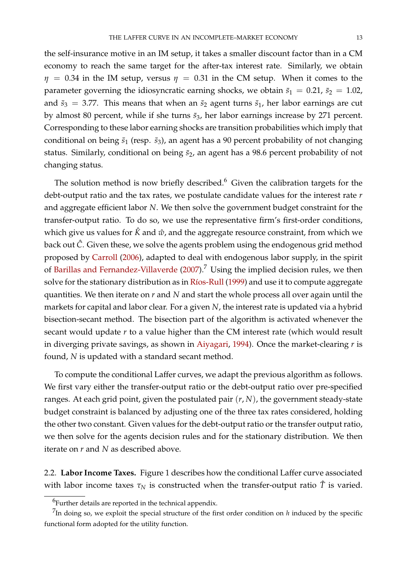the self-insurance motive in an IM setup, it takes a smaller discount factor than in a CM economy to reach the same target for the after-tax interest rate. Similarly, we obtain  $\eta$  = 0.34 in the IM setup, versus  $\eta$  = 0.31 in the CM setup. When it comes to the parameter governing the idiosyncratic earning shocks, we obtain  $\bar{s}_1 = 0.21$ ,  $\bar{s}_2 = 1.02$ , and  $\bar{s}_3 = 3.77$ . This means that when an  $\bar{s}_2$  agent turns  $\bar{s}_1$ , her labor earnings are cut by almost 80 percent, while if she turns  $\bar{s}_3$ , her labor earnings increase by 271 percent. Corresponding to these labor earning shocks are transition probabilities which imply that conditional on being  $\bar{s}_1$  (resp.  $\bar{s}_3$ ), an agent has a 90 percent probability of not changing status. Similarly, conditional on being  $\bar{s}_2$ , an agent has a 98.6 percent probability of not changing status.

The solution method is now briefly described.<sup>[6](#page-14-0)</sup> Given the calibration targets for the debt-output ratio and the tax rates, we postulate candidate values for the interest rate *r* and aggregate efficient labor *N*. We then solve the government budget constraint for the transfer-output ratio. To do so, we use the representative firm's first-order conditions, which give us values for  $\hat{K}$  and  $\hat{w}$ , and the aggregate resource constraint, from which we back out *C*ˆ. Given these, we solve the agents problem using the endogenous grid method proposed by [Carroll](#page-28-14) [\(2006\)](#page-28-14), adapted to deal with endogenous labor supply, in the spirit of [Barillas and Fernandez-Villaverde](#page-28-15) [\(2007\)](#page-28-15).[7](#page-14-1) Using the implied decision rules, we then solve for the stationary distribution as in Ríos-Rull [\(1999\)](#page-29-3) and use it to compute aggregate quantities. We then iterate on *r* and *N* and start the whole process all over again until the markets for capital and labor clear. For a given *N*, the interest rate is updated via a hybrid bisection-secant method. The bisection part of the algorithm is activated whenever the secant would update *r* to a value higher than the CM interest rate (which would result in diverging private savings, as shown in [Aiyagari,](#page-28-0) [1994\)](#page-28-0). Once the market-clearing *r* is found, *N* is updated with a standard secant method.

To compute the conditional Laffer curves, we adapt the previous algorithm as follows. We first vary either the transfer-output ratio or the debt-output ratio over pre-specified ranges. At each grid point, given the postulated pair (*r*, *N*), the government steady-state budget constraint is balanced by adjusting one of the three tax rates considered, holding the other two constant. Given values for the debt-output ratio or the transfer output ratio, we then solve for the agents decision rules and for the stationary distribution. We then iterate on *r* and *N* as described above.

2.2. **Labor Income Taxes.** Figure [1](#page-15-0) describes how the conditional Laffer curve associated with labor income taxes  $\tau_N$  is constructed when the transfer-output ratio  $\hat{T}$  is varied.

<span id="page-14-1"></span><span id="page-14-0"></span> $^6$ Further details are reported in the technical appendix.

<sup>&</sup>lt;sup>7</sup>In doing so, we exploit the special structure of the first order condition on *h* induced by the specific functional form adopted for the utility function.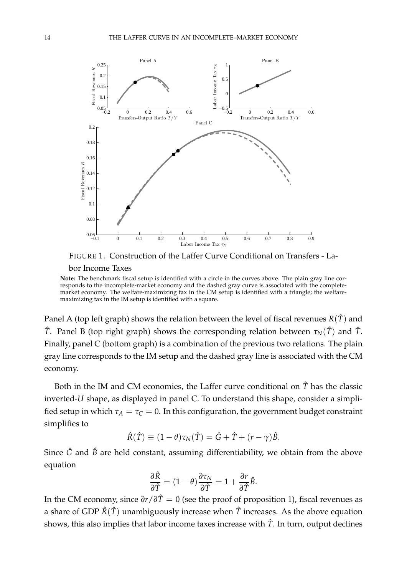

<span id="page-15-0"></span>FIGURE 1. Construction of the Laffer Curve Conditional on Transfers - Labor Income Taxes

**Note:** The benchmark fiscal setup is identified with a circle in the curves above. The plain gray line corresponds to the incomplete-market economy and the dashed gray curve is associated with the completemarket economy. The welfare-maximizing tax in the CM setup is identified with a triangle; the welfaremaximizing tax in the IM setup is identified with a square.

Panel A (top left graph) shows the relation between the level of fiscal revenues  $R(\hat{T})$  and *T*̂. Panel B (top right graph) shows the corresponding relation between  $\tau_N(\hat{T})$  and  $\hat{T}$ . Finally, panel C (bottom graph) is a combination of the previous two relations. The plain gray line corresponds to the IM setup and the dashed gray line is associated with the CM economy.

Both in the IM and CM economies, the Laffer curve conditional on  $\hat{T}$  has the classic inverted-*U* shape, as displayed in panel C. To understand this shape, consider a simplified setup in which  $\tau_A = \tau_C = 0$ . In this configuration, the government budget constraint simplifies to

$$
\hat{R}(\hat{T}) \equiv (1 - \theta)\tau_N(\hat{T}) = \hat{G} + \hat{T} + (r - \gamma)\hat{B}.
$$

Since  $\hat{G}$  and  $\hat{B}$  are held constant, assuming differentiability, we obtain from the above equation

$$
\frac{\partial \hat{R}}{\partial \hat{T}} = (1 - \theta) \frac{\partial \tau_N}{\partial \hat{T}} = 1 + \frac{\partial r}{\partial \hat{T}} \hat{B}.
$$

In the CM economy, since  $\partial r/\partial \hat{T} = 0$  (see the proof of proposition 1), fiscal revenues as a share of GDP  $\hat{R}(\hat{T})$  unambiguously increase when  $\hat{T}$  increases. As the above equation shows, this also implies that labor income taxes increase with  $\hat{T}$ . In turn, output declines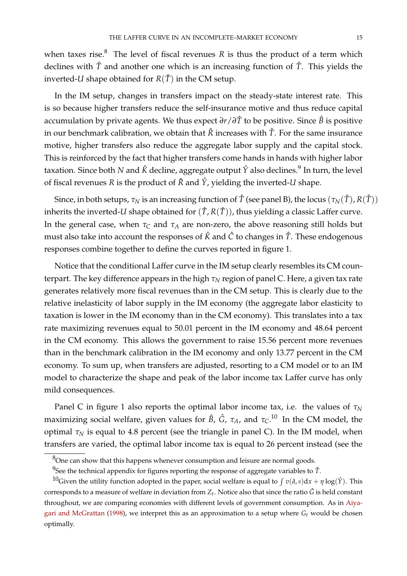when taxes rise. $8$  The level of fiscal revenues  $R$  is thus the product of a term which declines with *T*ˆ and another one which is an increasing function of *T*ˆ. This yields the inverted-*U* shape obtained for  $R(\hat{T})$  in the CM setup.

In the IM setup, changes in transfers impact on the steady-state interest rate. This is so because higher transfers reduce the self-insurance motive and thus reduce capital accumulation by private agents. We thus expect *∂r*/*∂T*ˆ to be positive. Since *B*ˆ is positive in our benchmark calibration, we obtain that  $\hat{R}$  increases with  $\hat{T}$ . For the same insurance motive, higher transfers also reduce the aggregate labor supply and the capital stock. This is reinforced by the fact that higher transfers come hands in hands with higher labor taxation. Since both  $N$  and  $\hat{K}$  decline, aggregate output  $\hat{Y}$  also declines. $^9$  $^9$  In turn, the level of fiscal revenues *R* is the product of  $\hat{R}$  and  $\hat{Y}$ , yielding the inverted-*U* shape.

Since, in both setups,  $\tau_N$  is an increasing function of  $\hat{T}$  (see panel B), the locus  $(\tau_N(\hat{T}), R(\hat{T}))$ inherits the inverted-*U* shape obtained for  $(\hat{T}, R(\hat{T}))$ , thus yielding a classic Laffer curve. In the general case, when  $\tau_C$  and  $\tau_A$  are non-zero, the above reasoning still holds but must also take into account the responses of *K*ˆ and *C*ˆ to changes in *T*ˆ. These endogenous responses combine together to define the curves reported in figure [1.](#page-15-0)

Notice that the conditional Laffer curve in the IM setup clearly resembles its CM counterpart. The key difference appears in the high  $τ_N$  region of panel C. Here, a given tax rate generates relatively more fiscal revenues than in the CM setup. This is clearly due to the relative inelasticity of labor supply in the IM economy (the aggregate labor elasticity to taxation is lower in the IM economy than in the CM economy). This translates into a tax rate maximizing revenues equal to 50.01 percent in the IM economy and 48.64 percent in the CM economy. This allows the government to raise 15.56 percent more revenues than in the benchmark calibration in the IM economy and only 13.77 percent in the CM economy. To sum up, when transfers are adjusted, resorting to a CM model or to an IM model to characterize the shape and peak of the labor income tax Laffer curve has only mild consequences.

Panel C in figure [1](#page-15-0) also reports the optimal labor income tax, i.e. the values of  $τ_N$ maximizing social welfare, given values for *B*ˆ, *G*ˆ, *τA*, and *τC*. [10](#page-16-2) In the CM model, the optimal  $\tau_N$  is equal to 4.8 percent (see the triangle in panel C). In the IM model, when transfers are varied, the optimal labor income tax is equal to 26 percent instead (see the

<span id="page-16-0"></span> $8$ One can show that this happens whenever consumption and leisure are normal goods.

<span id="page-16-2"></span><span id="page-16-1"></span> $^{9}$ See the technical appendix for figures reporting the response of aggregate variables to  $\hat{T}$ .

<sup>&</sup>lt;sup>10</sup>Given the utility function adopted in the paper, social welfare is equal to  $\int v(\hat{a}, s) dx + \eta \log(\hat{Y})$ . This corresponds to a measure of welfare in deviation from  $Z_t$ . Notice also that since the ratio  $\hat G$  is held constant throughout, we are comparing economies with different levels of government consumption. As in [Aiya](#page-28-4)[gari and McGrattan](#page-28-4) [\(1998\)](#page-28-4), we interpret this as an approximation to a setup where *G<sup>t</sup>* would be chosen optimally.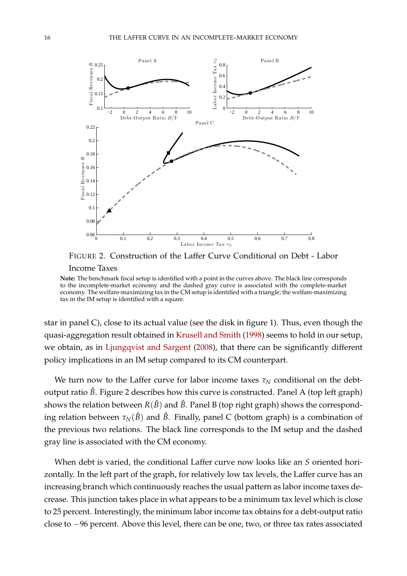

<span id="page-17-0"></span>FIGURE 2. Construction of the Laffer Curve Conditional on Debt - Labor Income Taxes

**Note:** The benchmark fiscal setup is identified with a point in the curves above. The black line corresponds to the incomplete-market economy and the dashed gray curve is associated with the complete-market economy. The welfare-maximizing tax in the CM setup is identified with a triangle; the welfare-maximizing tax in the IM setup is identified with a square.

star in panel C), close to its actual value (see the disk in figure [1\)](#page-15-0). Thus, even though the quasi-aggregation result obtained in [Krusell and Smith](#page-28-16) [\(1998\)](#page-28-16) seems to hold in our setup, we obtain, as in [Ljungqvist and Sargent](#page-28-10) [\(2008\)](#page-28-10), that there can be significantly different policy implications in an IM setup compared to its CM counterpart.

We turn now to the Laffer curve for labor income taxes  $\tau_N$  conditional on the debtoutput ratio  $\hat{B}$ . Figure [2](#page-17-0) describes how this curve is constructed. Panel A (top left graph) shows the relation between  $R(\hat{B})$  and  $\hat{B}$ . Panel B (top right graph) shows the corresponding relation between  $\tau_N(\hat{B})$  and  $\hat{B}$ . Finally, panel C (bottom graph) is a combination of the previous two relations. The black line corresponds to the IM setup and the dashed gray line is associated with the CM economy.

When debt is varied, the conditional Laffer curve now looks like an *S* oriented horizontally. In the left part of the graph, for relatively low tax levels, the Laffer curve has an increasing branch which continuously reaches the usual pattern as labor income taxes decrease. This junction takes place in what appears to be a minimum tax level which is close to 25 percent. Interestingly, the minimum labor income tax obtains for a debt-output ratio close to −96 percent. Above this level, there can be one, two, or three tax rates associated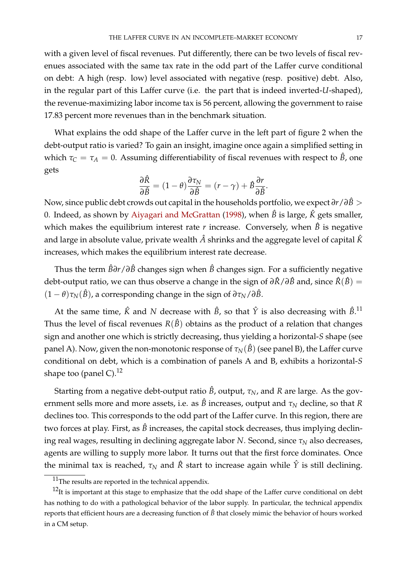with a given level of fiscal revenues. Put differently, there can be two levels of fiscal revenues associated with the same tax rate in the odd part of the Laffer curve conditional on debt: A high (resp. low) level associated with negative (resp. positive) debt. Also, in the regular part of this Laffer curve (i.e. the part that is indeed inverted-*U*-shaped), the revenue-maximizing labor income tax is 56 percent, allowing the government to raise 17.83 percent more revenues than in the benchmark situation.

What explains the odd shape of the Laffer curve in the left part of figure [2](#page-17-0) when the debt-output ratio is varied? To gain an insight, imagine once again a simplified setting in which  $\tau_C = \tau_A = 0$ . Assuming differentiability of fiscal revenues with respect to  $\hat{B}$ , one gets

$$
\frac{\partial \hat{R}}{\partial \hat{B}} = (1 - \theta) \frac{\partial \tau_N}{\partial \hat{B}} = (r - \gamma) + \hat{B} \frac{\partial r}{\partial \hat{B}}.
$$

Now, since public debt crowds out capital in the households portfolio, we expect *∂r*/*∂B*ˆ > 0. Indeed, as shown by [Aiyagari and McGrattan](#page-28-4) [\(1998\)](#page-28-4), when  $\hat{B}$  is large,  $\hat{K}$  gets smaller, which makes the equilibrium interest rate  $r$  increase. Conversely, when  $\hat{B}$  is negative and large in absolute value, private wealth *A*ˆ shrinks and the aggregate level of capital *K*ˆ increases, which makes the equilibrium interest rate decrease.

Thus the term *B*ˆ*∂r*/*∂B*ˆ changes sign when *B*ˆ changes sign. For a sufficiently negative debt-output ratio, we can thus observe a change in the sign of  $\partial \hat{R}/\partial \hat{B}$  and, since  $\hat{R}(\hat{B}) =$  $(1 - \theta)\tau_N(\hat{B})$ , a corresponding change in the sign of  $\partial \tau_N/\partial \hat{B}$ .

At the same time,  $\hat{K}$  and  $N$  decrease with  $\hat{B}$ , so that  $\hat{Y}$  is also decreasing with  $\hat{B}$ .<sup>[11](#page-18-0)</sup> Thus the level of fiscal revenues  $R(\hat{B})$  obtains as the product of a relation that changes sign and another one which is strictly decreasing, thus yielding a horizontal-*S* shape (see panel A). Now, given the non-monotonic response of  $\tau_N(\hat{B})$  (see panel B), the Laffer curve conditional on debt, which is a combination of panels A and B, exhibits a horizontal-*S* shape too (panel C).<sup>[12](#page-18-1)</sup>

Starting from a negative debt-output ratio  $\hat{B}$ , output,  $\tau_N$ , and  $R$  are large. As the government sells more and more assets, i.e. as  $\hat{B}$  increases, output and  $\tau_N$  decline, so that  $R$ declines too. This corresponds to the odd part of the Laffer curve. In this region, there are two forces at play. First, as  $\hat{B}$  increases, the capital stock decreases, thus implying declining real wages, resulting in declining aggregate labor *N*. Second, since *τ<sup>N</sup>* also decreases, agents are willing to supply more labor. It turns out that the first force dominates. Once the minimal tax is reached,  $\tau_N$  and  $\hat{R}$  start to increase again while  $\hat{Y}$  is still declining.

<span id="page-18-1"></span><span id="page-18-0"></span><sup>&</sup>lt;sup>11</sup>The results are reported in the technical appendix.

<sup>&</sup>lt;sup>12</sup>It is important at this stage to emphasize that the odd shape of the Laffer curve conditional on debt has nothing to do with a pathological behavior of the labor supply. In particular, the technical appendix reports that efficient hours are a decreasing function of *B*ˆ that closely mimic the behavior of hours worked in a CM setup.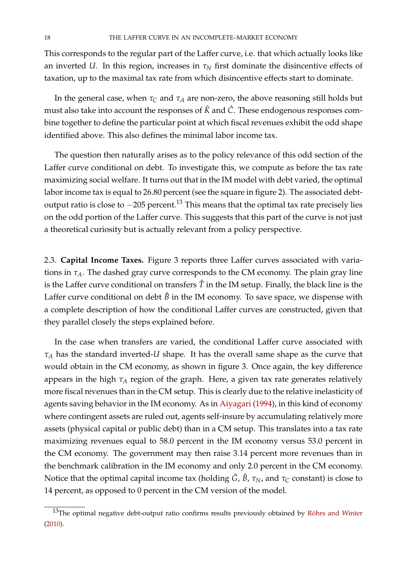This corresponds to the regular part of the Laffer curve, i.e. that which actually looks like an inverted *U*. In this region, increases in  $\tau_N$  first dominate the disincentive effects of taxation, up to the maximal tax rate from which disincentive effects start to dominate.

In the general case, when  $\tau_C$  and  $\tau_A$  are non-zero, the above reasoning still holds but must also take into account the responses of  $\hat{K}$  and  $\hat{C}$ . These endogenous responses combine together to define the particular point at which fiscal revenues exhibit the odd shape identified above. This also defines the minimal labor income tax.

The question then naturally arises as to the policy relevance of this odd section of the Laffer curve conditional on debt. To investigate this, we compute as before the tax rate maximizing social welfare. It turns out that in the IM model with debt varied, the optimal labor income tax is equal to 26.80 percent (see the square in figure [2\)](#page-17-0). The associated debtoutput ratio is close to  $-205$  percent.<sup>[13](#page-19-0)</sup> This means that the optimal tax rate precisely lies on the odd portion of the Laffer curve. This suggests that this part of the curve is not just a theoretical curiosity but is actually relevant from a policy perspective.

2.3. **Capital Income Taxes.** Figure [3](#page-20-0) reports three Laffer curves associated with variations in *τA*. The dashed gray curve corresponds to the CM economy. The plain gray line is the Laffer curve conditional on transfers  $\hat{T}$  in the IM setup. Finally, the black line is the Laffer curve conditional on debt  $\hat{B}$  in the IM economy. To save space, we dispense with a complete description of how the conditional Laffer curves are constructed, given that they parallel closely the steps explained before.

In the case when transfers are varied, the conditional Laffer curve associated with *τ<sup>A</sup>* has the standard inverted-*U* shape. It has the overall same shape as the curve that would obtain in the CM economy, as shown in figure [3.](#page-20-0) Once again, the key difference appears in the high *τ<sup>A</sup>* region of the graph. Here, a given tax rate generates relatively more fiscal revenues than in the CM setup. This is clearly due to the relative inelasticity of agents saving behavior in the IM economy. As in [Aiyagari](#page-28-0) [\(1994\)](#page-28-0), in this kind of economy where contingent assets are ruled out, agents self-insure by accumulating relatively more assets (physical capital or public debt) than in a CM setup. This translates into a tax rate maximizing revenues equal to 58.0 percent in the IM economy versus 53.0 percent in the CM economy. The government may then raise 3.14 percent more revenues than in the benchmark calibration in the IM economy and only 2.0 percent in the CM economy. Notice that the optimal capital income tax (holding  $\hat{G}$ ,  $\hat{B}$ ,  $\tau_N$ , and  $\tau_C$  constant) is close to 14 percent, as opposed to 0 percent in the CM version of the model.

<span id="page-19-0"></span> $13$ The optimal negative debt-output ratio confirms results previously obtained by Röhrs and Winter [\(2010\)](#page-29-1).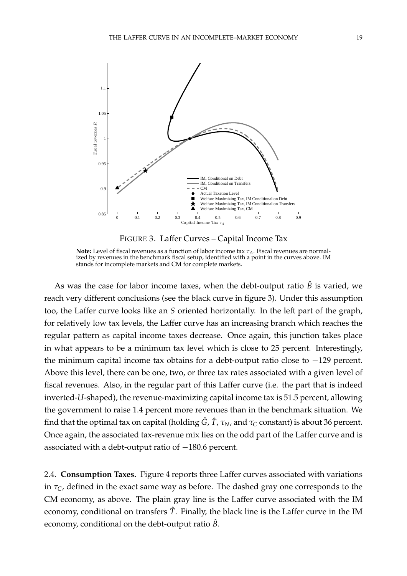

<span id="page-20-0"></span>FIGURE 3. Laffer Curves – Capital Income Tax

As was the case for labor income taxes, when the debt-output ratio  $\hat{B}$  is varied, we reach very different conclusions (see the black curve in figure [3\)](#page-20-0). Under this assumption too, the Laffer curve looks like an *S* oriented horizontally. In the left part of the graph, for relatively low tax levels, the Laffer curve has an increasing branch which reaches the regular pattern as capital income taxes decrease. Once again, this junction takes place in what appears to be a minimum tax level which is close to 25 percent. Interestingly, the minimum capital income tax obtains for a debt-output ratio close to −129 percent. Above this level, there can be one, two, or three tax rates associated with a given level of fiscal revenues. Also, in the regular part of this Laffer curve (i.e. the part that is indeed inverted-*U*-shaped), the revenue-maximizing capital income tax is 51.5 percent, allowing the government to raise 1.4 percent more revenues than in the benchmark situation. We find that the optimal tax on capital (holding  $\hat{G}$ ,  $\hat{T}$ ,  $\tau_N$ , and  $\tau_C$  constant) is about 36 percent. Once again, the associated tax-revenue mix lies on the odd part of the Laffer curve and is associated with a debt-output ratio of -180.6 percent.

2.4. **Consumption Taxes.** Figure [4](#page-21-0) reports three Laffer curves associated with variations in *τC*, defined in the exact same way as before. The dashed gray one corresponds to the CM economy, as above. The plain gray line is the Laffer curve associated with the IM economy, conditional on transfers *T*ˆ. Finally, the black line is the Laffer curve in the IM economy, conditional on the debt-output ratio *B*ˆ.

**Note:** Level of fiscal revenues as a function of labor income tax *τA*. Fiscal revenues are normalized by revenues in the benchmark fiscal setup, identified with a point in the curves above. IM stands for incomplete markets and CM for complete markets.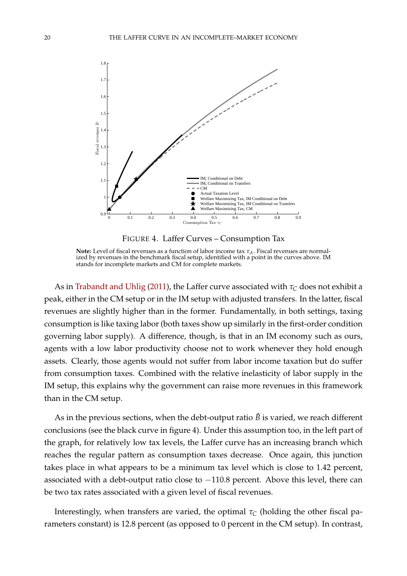

<span id="page-21-0"></span>FIGURE 4. Laffer Curves – Consumption Tax

As in [Trabandt and Uhlig](#page-29-0) [\(2011\)](#page-29-0), the Laffer curve associated with  $\tau_C$  does not exhibit a peak, either in the CM setup or in the IM setup with adjusted transfers. In the latter, fiscal revenues are slightly higher than in the former. Fundamentally, in both settings, taxing consumption is like taxing labor (both taxes show up similarly in the first-order condition governing labor supply). A difference, though, is that in an IM economy such as ours, agents with a low labor productivity choose not to work whenever they hold enough assets. Clearly, those agents would not suffer from labor income taxation but do suffer from consumption taxes. Combined with the relative inelasticity of labor supply in the IM setup, this explains why the government can raise more revenues in this framework than in the CM setup.

As in the previous sections, when the debt-output ratio  $\hat{B}$  is varied, we reach different conclusions (see the black curve in figure [4\)](#page-21-0). Under this assumption too, in the left part of the graph, for relatively low tax levels, the Laffer curve has an increasing branch which reaches the regular pattern as consumption taxes decrease. Once again, this junction takes place in what appears to be a minimum tax level which is close to 1.42 percent, associated with a debt-output ratio close to −110.8 percent. Above this level, there can be two tax rates associated with a given level of fiscal revenues.

Interestingly, when transfers are varied, the optimal  $\tau_c$  (holding the other fiscal parameters constant) is 12.8 percent (as opposed to 0 percent in the CM setup). In contrast,

**Note:** Level of fiscal revenues as a function of labor income tax *τA*. Fiscal revenues are normalized by revenues in the benchmark fiscal setup, identified with a point in the curves above. IM stands for incomplete markets and CM for complete markets.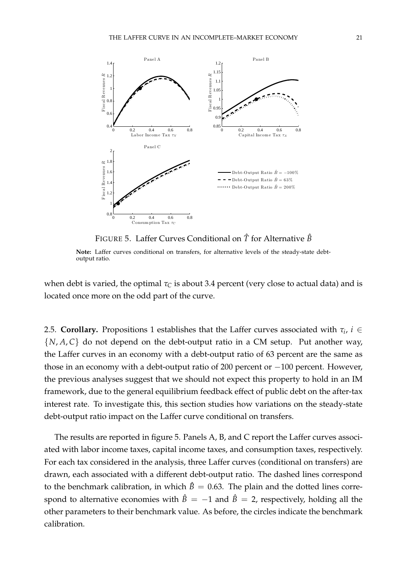

<span id="page-22-0"></span>FIGURE 5. Laffer Curves Conditional on *T*ˆ for Alternative *B*ˆ

**Note:** Laffer curves conditional on transfers, for alternative levels of the steady-state debtoutput ratio.

when debt is varied, the optimal  $\tau_C$  is about 3.4 percent (very close to actual data) and is located once more on the odd part of the curve.

2.5. **Corollary.** Propositions 1 establishes that the Laffer curves associated with  $\tau_i$ ,  $i \in$  $\{N, A, C\}$  do not depend on the debt-output ratio in a CM setup. Put another way, the Laffer curves in an economy with a debt-output ratio of 63 percent are the same as those in an economy with a debt-output ratio of 200 percent or −100 percent. However, the previous analyses suggest that we should not expect this property to hold in an IM framework, due to the general equilibrium feedback effect of public debt on the after-tax interest rate. To investigate this, this section studies how variations on the steady-state debt-output ratio impact on the Laffer curve conditional on transfers.

The results are reported in figure [5.](#page-22-0) Panels A, B, and C report the Laffer curves associated with labor income taxes, capital income taxes, and consumption taxes, respectively. For each tax considered in the analysis, three Laffer curves (conditional on transfers) are drawn, each associated with a different debt-output ratio. The dashed lines correspond to the benchmark calibration, in which  $\hat{B} = 0.63$ . The plain and the dotted lines correspond to alternative economies with  $\hat{B} = -1$  and  $\hat{B} = 2$ , respectively, holding all the other parameters to their benchmark value. As before, the circles indicate the benchmark calibration.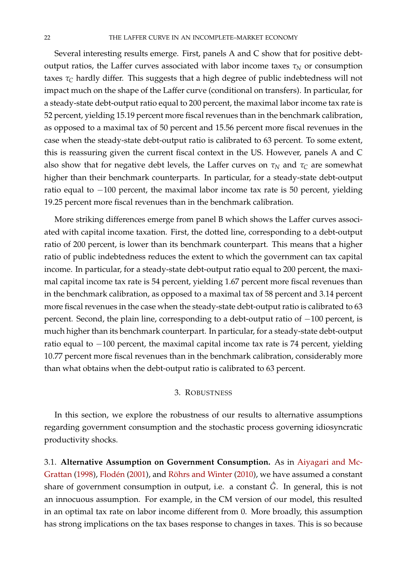Several interesting results emerge. First, panels A and C show that for positive debtoutput ratios, the Laffer curves associated with labor income taxes  $\tau_N$  or consumption taxes *τ<sup>C</sup>* hardly differ. This suggests that a high degree of public indebtedness will not impact much on the shape of the Laffer curve (conditional on transfers). In particular, for a steady-state debt-output ratio equal to 200 percent, the maximal labor income tax rate is 52 percent, yielding 15.19 percent more fiscal revenues than in the benchmark calibration, as opposed to a maximal tax of 50 percent and 15.56 percent more fiscal revenues in the case when the steady-state debt-output ratio is calibrated to 63 percent. To some extent, this is reassuring given the current fiscal context in the US. However, panels A and C also show that for negative debt levels, the Laffer curves on  $\tau_N$  and  $\tau_C$  are somewhat higher than their benchmark counterparts. In particular, for a steady-state debt-output ratio equal to −100 percent, the maximal labor income tax rate is 50 percent, yielding 19.25 percent more fiscal revenues than in the benchmark calibration.

More striking differences emerge from panel B which shows the Laffer curves associated with capital income taxation. First, the dotted line, corresponding to a debt-output ratio of 200 percent, is lower than its benchmark counterpart. This means that a higher ratio of public indebtedness reduces the extent to which the government can tax capital income. In particular, for a steady-state debt-output ratio equal to 200 percent, the maximal capital income tax rate is 54 percent, yielding 1.67 percent more fiscal revenues than in the benchmark calibration, as opposed to a maximal tax of 58 percent and 3.14 percent more fiscal revenues in the case when the steady-state debt-output ratio is calibrated to 63 percent. Second, the plain line, corresponding to a debt-output ratio of -100 percent, is much higher than its benchmark counterpart. In particular, for a steady-state debt-output ratio equal to −100 percent, the maximal capital income tax rate is 74 percent, yielding 10.77 percent more fiscal revenues than in the benchmark calibration, considerably more than what obtains when the debt-output ratio is calibrated to 63 percent.

#### 3. ROBUSTNESS

<span id="page-23-0"></span>In this section, we explore the robustness of our results to alternative assumptions regarding government consumption and the stochastic process governing idiosyncratic productivity shocks.

3.1. **Alternative Assumption on Government Consumption.** As in [Aiyagari and Mc-](#page-28-4)[Grattan](#page-28-4) [\(1998\)](#page-28-4), Flodén [\(2001\)](#page-28-5), and Röhrs and Winter [\(2010\)](#page-29-1), we have assumed a constant share of government consumption in output, i.e. a constant  $\hat{G}$ . In general, this is not an innocuous assumption. For example, in the CM version of our model, this resulted in an optimal tax rate on labor income different from 0. More broadly, this assumption has strong implications on the tax bases response to changes in taxes. This is so because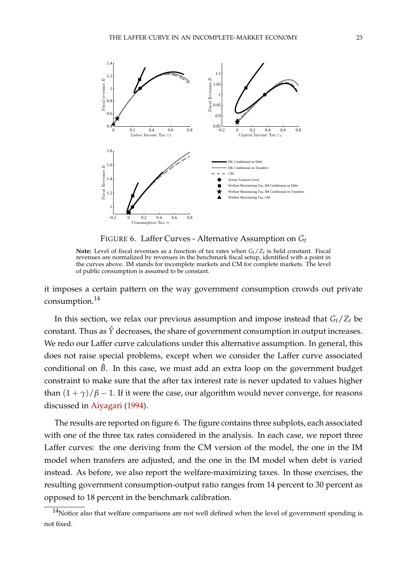

<span id="page-24-1"></span>FIGURE 6. Laffer Curves - Alternative Assumption on *G<sup>t</sup>*

**Note:** Level of fiscal revenues as a function of tax rates when  $G_t/Z_t$  is held constant. Fiscal revenues are normalized by revenues in the benchmark fiscal setup, identified with a point in the curves above. IM stands for incomplete markets and CM for complete markets. The level of public consumption is assumed to be constant.

it imposes a certain pattern on the way government consumption crowds out private consumption.<sup>[14](#page-24-0)</sup>

In this section, we relax our previous assumption and impose instead that *Gt*/*Z<sup>t</sup>* be constant. Thus as  $\hat{Y}$  decreases, the share of government consumption in output increases. We redo our Laffer curve calculations under this alternative assumption. In general, this does not raise special problems, except when we consider the Laffer curve associated conditional on  $\hat{B}$ . In this case, we must add an extra loop on the government budget constraint to make sure that the after tax interest rate is never updated to values higher than  $(1 + \gamma)/\beta - 1$ . If it were the case, our algorithm would never converge, for reasons discussed in [Aiyagari](#page-28-0) [\(1994\)](#page-28-0).

The results are reported on figure [6.](#page-24-1) The figure contains three subplots, each associated with one of the three tax rates considered in the analysis. In each case, we report three Laffer curves: the one deriving from the CM version of the model, the one in the IM model when transfers are adjusted, and the one in the IM model when debt is varied instead. As before, we also report the welfare-maximizing taxes. In those exercises, the resulting government consumption-output ratio ranges from 14 percent to 30 percent as opposed to 18 percent in the benchmark calibration.

<span id="page-24-0"></span> $14$ Notice also that welfare comparisons are not well defined when the level of government spending is not fixed.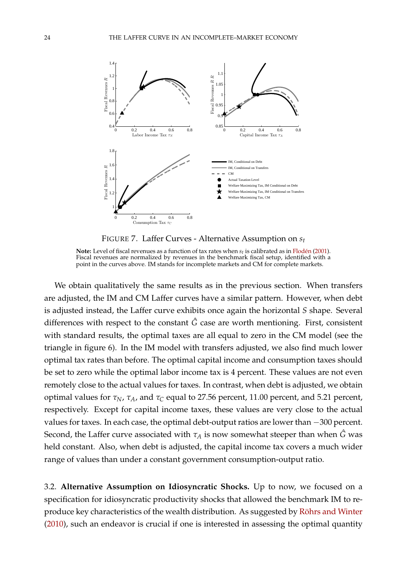

<span id="page-25-0"></span>FIGURE 7. Laffer Curves - Alternative Assumption on *s<sup>t</sup>*

**Note:** Level of fiscal revenues as a function of tax rates when  $s_t$  is calibrated as in Flodén [\(2001\)](#page-28-5). Fiscal revenues are normalized by revenues in the benchmark fiscal setup, identified with a point in the curves above. IM stands for incomplete markets and CM for complete markets.

We obtain qualitatively the same results as in the previous section. When transfers are adjusted, the IM and CM Laffer curves have a similar pattern. However, when debt is adjusted instead, the Laffer curve exhibits once again the horizontal *S* shape. Several differences with respect to the constant  $\hat{G}$  case are worth mentioning. First, consistent with standard results, the optimal taxes are all equal to zero in the CM model (see the triangle in figure [6\)](#page-24-1). In the IM model with transfers adjusted, we also find much lower optimal tax rates than before. The optimal capital income and consumption taxes should be set to zero while the optimal labor income tax is 4 percent. These values are not even remotely close to the actual values for taxes. In contrast, when debt is adjusted, we obtain optimal values for *τN*, *τA*, and *τ<sup>C</sup>* equal to 27.56 percent, 11.00 percent, and 5.21 percent, respectively. Except for capital income taxes, these values are very close to the actual values for taxes. In each case, the optimal debt-output ratios are lower than −300 percent. Second, the Laffer curve associated with  $\tau_A$  is now somewhat steeper than when  $\hat{G}$  was held constant. Also, when debt is adjusted, the capital income tax covers a much wider range of values than under a constant government consumption-output ratio.

3.2. **Alternative Assumption on Idiosyncratic Shocks.** Up to now, we focused on a specification for idiosyncratic productivity shocks that allowed the benchmark IM to reproduce key characteristics of the wealth distribution. As suggested by Röhrs and Winter [\(2010\)](#page-29-1), such an endeavor is crucial if one is interested in assessing the optimal quantity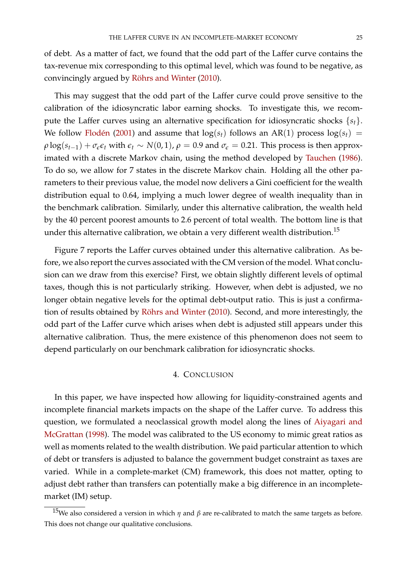of debt. As a matter of fact, we found that the odd part of the Laffer curve contains the tax-revenue mix corresponding to this optimal level, which was found to be negative, as convincingly argued by Röhrs and Winter [\(2010\)](#page-29-1).

This may suggest that the odd part of the Laffer curve could prove sensitive to the calibration of the idiosyncratic labor earning shocks. To investigate this, we recompute the Laffer curves using an alternative specification for idiosyncratic shocks {*st*}. We follow Flodén [\(2001\)](#page-28-5) and assume that  $log(s_t)$  follows an AR(1) process  $log(s_t)$  =  $\rho \log(s_{t-1}) + \sigma_{\epsilon} \epsilon_t$  with  $\epsilon_t \sim N(0, 1)$ ,  $\rho = 0.9$  and  $\sigma_{\epsilon} = 0.21$ . This process is then approximated with a discrete Markov chain, using the method developed by [Tauchen](#page-29-4) [\(1986\)](#page-29-4). To do so, we allow for 7 states in the discrete Markov chain. Holding all the other parameters to their previous value, the model now delivers a Gini coefficient for the wealth distribution equal to 0.64, implying a much lower degree of wealth inequality than in the benchmark calibration. Similarly, under this alternative calibration, the wealth held by the 40 percent poorest amounts to 2.6 percent of total wealth. The bottom line is that under this alternative calibration, we obtain a very different wealth distribution.<sup>[15](#page-26-0)</sup>

Figure [7](#page-25-0) reports the Laffer curves obtained under this alternative calibration. As before, we also report the curves associated with the CM version of the model. What conclusion can we draw from this exercise? First, we obtain slightly different levels of optimal taxes, though this is not particularly striking. However, when debt is adjusted, we no longer obtain negative levels for the optimal debt-output ratio. This is just a confirma-tion of results obtained by Röhrs and Winter [\(2010\)](#page-29-1). Second, and more interestingly, the odd part of the Laffer curve which arises when debt is adjusted still appears under this alternative calibration. Thus, the mere existence of this phenomenon does not seem to depend particularly on our benchmark calibration for idiosyncratic shocks.

#### 4. CONCLUSION

In this paper, we have inspected how allowing for liquidity-constrained agents and incomplete financial markets impacts on the shape of the Laffer curve. To address this question, we formulated a neoclassical growth model along the lines of [Aiyagari and](#page-28-4) [McGrattan](#page-28-4) [\(1998\)](#page-28-4). The model was calibrated to the US economy to mimic great ratios as well as moments related to the wealth distribution. We paid particular attention to which of debt or transfers is adjusted to balance the government budget constraint as taxes are varied. While in a complete-market (CM) framework, this does not matter, opting to adjust debt rather than transfers can potentially make a big difference in an incompletemarket (IM) setup.

<span id="page-26-0"></span><sup>15</sup>We also considered a version in which *<sup>η</sup>* and *<sup>β</sup>* are re-calibrated to match the same targets as before. This does not change our qualitative conclusions.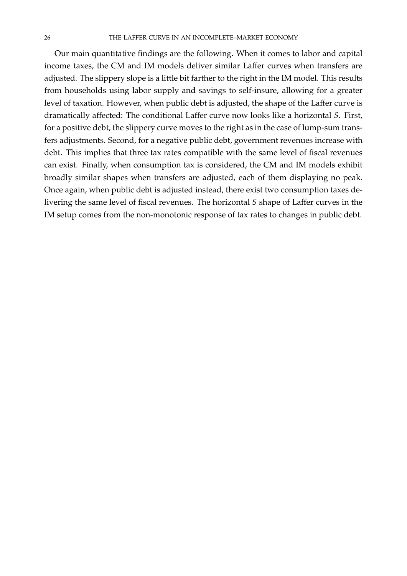Our main quantitative findings are the following. When it comes to labor and capital income taxes, the CM and IM models deliver similar Laffer curves when transfers are adjusted. The slippery slope is a little bit farther to the right in the IM model. This results from households using labor supply and savings to self-insure, allowing for a greater level of taxation. However, when public debt is adjusted, the shape of the Laffer curve is dramatically affected: The conditional Laffer curve now looks like a horizontal *S*. First, for a positive debt, the slippery curve moves to the right as in the case of lump-sum transfers adjustments. Second, for a negative public debt, government revenues increase with debt. This implies that three tax rates compatible with the same level of fiscal revenues can exist. Finally, when consumption tax is considered, the CM and IM models exhibit broadly similar shapes when transfers are adjusted, each of them displaying no peak. Once again, when public debt is adjusted instead, there exist two consumption taxes delivering the same level of fiscal revenues. The horizontal *S* shape of Laffer curves in the IM setup comes from the non-monotonic response of tax rates to changes in public debt.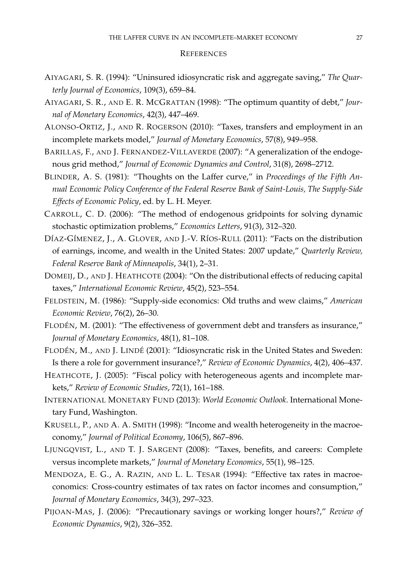#### **REFERENCES**

- <span id="page-28-0"></span>AIYAGARI, S. R. (1994): "Uninsured idiosyncratic risk and aggregate saving," *The Quarterly Journal of Economics*, 109(3), 659–84.
- <span id="page-28-4"></span>AIYAGARI, S. R., AND E. R. MCGRATTAN (1998): "The optimum quantity of debt," *Journal of Monetary Economics*, 42(3), 447–469.
- <span id="page-28-11"></span>ALONSO-ORTIZ, J., AND R. ROGERSON (2010): "Taxes, transfers and employment in an incomplete markets model," *Journal of Monetary Economics*, 57(8), 949–958.
- <span id="page-28-15"></span>BARILLAS, F., AND J. FERNANDEZ-VILLAVERDE (2007): "A generalization of the endogenous grid method," *Journal of Economic Dynamics and Control*, 31(8), 2698–2712.
- <span id="page-28-3"></span>BLINDER, A. S. (1981): "Thoughts on the Laffer curve," in *Proceedings of the Fifth Annual Economic Policy Conference of the Federal Reserve Bank of Saint-Louis, The Supply-Side Effects of Economic Policy*, ed. by L. H. Meyer.
- <span id="page-28-14"></span>CARROLL, C. D. (2006): "The method of endogenous gridpoints for solving dynamic stochastic optimization problems," *Economics Letters*, 91(3), 312–320.
- <span id="page-28-13"></span>DÍAZ-GÍMENEZ, J., A. GLOVER, AND J.-V. RÍOS-RULL (2011): "Facts on the distribution of earnings, income, and wealth in the United States: 2007 update," *Quarterly Review, Federal Reserve Bank of Minneapolis*, 34(1), 2–31.
- <span id="page-28-6"></span>DOMEIJ, D., AND J. HEATHCOTE (2004): "On the distributional effects of reducing capital taxes," *International Economic Review*, 45(2), 523–554.
- <span id="page-28-2"></span>FELDSTEIN, M. (1986): "Supply-side economics: Old truths and wew claims," *American Economic Review*, 76(2), 26–30.
- <span id="page-28-5"></span>FLODÉN, M. (2001): "The effectiveness of government debt and transfers as insurance," *Journal of Monetary Economics*, 48(1), 81–108.
- <span id="page-28-9"></span>FLODÉN, M., AND J. LINDÉ (2001): "Idiosyncratic risk in the United States and Sweden: Is there a role for government insurance?," *Review of Economic Dynamics*, 4(2), 406–437.
- <span id="page-28-7"></span>HEATHCOTE, J. (2005): "Fiscal policy with heterogeneous agents and incomplete markets," *Review of Economic Studies*, 72(1), 161–188.
- <span id="page-28-8"></span>INTERNATIONAL MONETARY FUND (2013): *World Economic Outlook*. International Monetary Fund, Washington.
- <span id="page-28-16"></span>KRUSELL, P., AND A. A. SMITH (1998): "Income and wealth heterogeneity in the macroeconomy," *Journal of Political Economy*, 106(5), 867–896.
- <span id="page-28-10"></span>LJUNGQVIST, L., AND T. J. SARGENT (2008): "Taxes, benefits, and careers: Complete versus incomplete markets," *Journal of Monetary Economics*, 55(1), 98–125.
- <span id="page-28-12"></span>MENDOZA, E. G., A. RAZIN, AND L. L. TESAR (1994): "Effective tax rates in macroeconomics: Cross-country estimates of tax rates on factor incomes and consumption," *Journal of Monetary Economics*, 34(3), 297–323.
- <span id="page-28-1"></span>PIJOAN-MAS, J. (2006): "Precautionary savings or working longer hours?," *Review of Economic Dynamics*, 9(2), 326–352.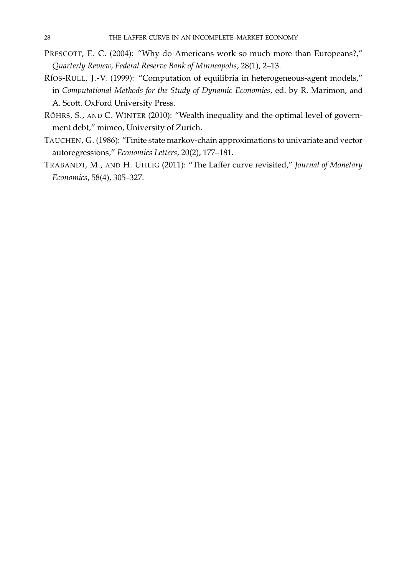- <span id="page-29-2"></span>PRESCOTT, E. C. (2004): "Why do Americans work so much more than Europeans?," *Quarterly Review, Federal Reserve Bank of Minneapolis*, 28(1), 2–13.
- <span id="page-29-3"></span>RÍOS-RULL, J.-V. (1999): "Computation of equilibria in heterogeneous-agent models," in *Computational Methods for the Study of Dynamic Economies*, ed. by R. Marimon, and A. Scott. OxFord University Press.
- <span id="page-29-1"></span>RÖHRS, S., AND C. WINTER (2010): "Wealth inequality and the optimal level of government debt," mimeo, University of Zurich.
- <span id="page-29-4"></span>TAUCHEN, G. (1986): "Finite state markov-chain approximations to univariate and vector autoregressions," *Economics Letters*, 20(2), 177–181.
- <span id="page-29-0"></span>TRABANDT, M., AND H. UHLIG (2011): "The Laffer curve revisited," *Journal of Monetary Economics*, 58(4), 305–327.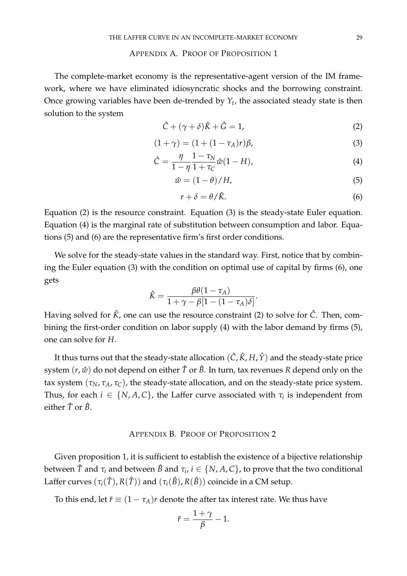#### APPENDIX A. PROOF OF PROPOSITION 1

<span id="page-30-0"></span>The complete-market economy is the representative-agent version of the IM framework, where we have eliminated idiosyncratic shocks and the borrowing constraint. Once growing variables have been de-trended by *Y<sup>t</sup>* , the associated steady state is then solution to the system

<span id="page-30-2"></span>
$$
\hat{C} + (\gamma + \delta)\hat{K} + \hat{G} = 1,\tag{2}
$$

<span id="page-30-3"></span>
$$
(1 + \gamma) = (1 + (1 - \tau_A)r)\beta,
$$
 (3)

<span id="page-30-4"></span>
$$
\hat{C} = \frac{\eta}{1 - \eta} \frac{1 - \tau_N}{1 + \tau_C} \hat{w}(1 - H),\tag{4}
$$

<span id="page-30-5"></span>
$$
\hat{w} = (1 - \theta) / H,\tag{5}
$$

<span id="page-30-6"></span>
$$
r + \delta = \theta / \hat{K}.\tag{6}
$$

Equation [\(2\)](#page-30-2) is the resource constraint. Equation [\(3\)](#page-30-3) is the steady-state Euler equation. Equation [\(4\)](#page-30-4) is the marginal rate of substitution between consumption and labor. Equations [\(5\)](#page-30-5) and [\(6\)](#page-30-6) are the representative firm's first order conditions.

We solve for the steady-state values in the standard way. First, notice that by combining the Euler equation [\(3\)](#page-30-3) with the condition on optimal use of capital by firms [\(6\)](#page-30-6), one gets

$$
\hat{K} = \frac{\beta \theta (1 - \tau_A)}{1 + \gamma - \beta [1 - (1 - \tau_A)\delta]}.
$$

Having solved for  $\hat{K}$ , one can use the resource constraint [\(2\)](#page-30-2) to solve for  $\hat{C}$ . Then, combining the first-order condition on labor supply [\(4\)](#page-30-4) with the labor demand by firms [\(5\)](#page-30-5), one can solve for *H*.

It thus turns out that the steady-state allocation  $(\hat{C}, \hat{K}, H, \hat{Y})$  and the steady-state price system  $(r, \hat{w})$  do not depend on either  $\hat{T}$  or  $\hat{B}$ . In turn, tax revenues *R* depend only on the tax system  $(\tau_N, \tau_A, \tau_C)$ , the steady-state allocation, and on the steady-state price system. Thus, for each  $i \in \{N, A, C\}$ , the Laffer curve associated with  $\tau_i$  is independent from either  $\hat{T}$  or  $\hat{B}$ .

#### APPENDIX B. PROOF OF PROPOSITION 2

<span id="page-30-1"></span>Given proposition 1, it is sufficient to establish the existence of a bijective relationship between  $\hat{T}$  and  $\tau_i$  and between  $\hat{B}$  and  $\tau_i$ ,  $i\in\{N,A,C\}$ , to prove that the two conditional Laffer curves  $(\tau_i(\hat{T}), R(\hat{T}))$  and  $(\tau_i(\hat{B}), R(\hat{B}))$  coincide in a CM setup.

To this end, let  $\tilde{r} \equiv (1 - \tau_A)r$  denote the after tax interest rate. We thus have

$$
\tilde{r} = \frac{1+\gamma}{\beta} - 1.
$$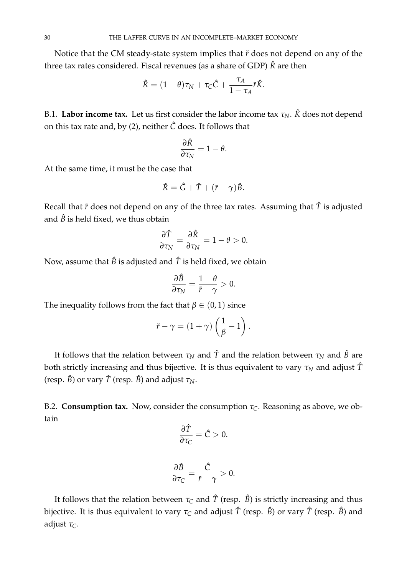Notice that the CM steady-state system implies that  $\tilde{r}$  does not depend on any of the three tax rates considered. Fiscal revenues (as a share of GDP) *R*ˆ are then

$$
\hat{R} = (1 - \theta)\tau_N + \tau_C \hat{C} + \frac{\tau_A}{1 - \tau_A} \tilde{r}\hat{K}.
$$

B.1. **Labor income tax.** Let us first consider the labor income tax  $\tau_N$ .  $\hat{K}$  does not depend on this tax rate and, by [\(2\)](#page-30-2), neither *C*ˆ does. It follows that

$$
\frac{\partial \hat{R}}{\partial \tau_N} = 1 - \theta.
$$

At the same time, it must be the case that

$$
\hat{R} = \hat{G} + \hat{T} + (\tilde{r} - \gamma)\hat{B}.
$$

Recall that  $\tilde{r}$  does not depend on any of the three tax rates. Assuming that  $\tilde{T}$  is adjusted and  $\hat{B}$  is held fixed, we thus obtain

$$
\frac{\partial \hat{T}}{\partial \tau_N} = \frac{\partial \hat{R}}{\partial \tau_N} = 1 - \theta > 0.
$$

Now, assume that  $\hat{B}$  is adjusted and  $\hat{T}$  is held fixed, we obtain

$$
\frac{\partial \hat{B}}{\partial \tau_N} = \frac{1-\theta}{\tilde{r}-\gamma} > 0.
$$

The inequality follows from the fact that  $\beta \in (0,1)$  since

$$
\tilde{r} - \gamma = (1 + \gamma) \left( \frac{1}{\beta} - 1 \right).
$$

It follows that the relation between  $\tau_N$  and  $\hat{T}$  and the relation between  $\tau_N$  and  $\hat{B}$  are both strictly increasing and thus bijective. It is thus equivalent to vary  $\tau_N$  and adjust  $\hat{T}$ (resp.  $\hat{B}$ ) or vary  $\hat{T}$  (resp.  $\hat{B}$ ) and adjust  $\tau_N$ .

B.2. **Consumption tax.** Now, consider the consumption  $\tau_C$ . Reasoning as above, we obtain

$$
\frac{\partial \hat{T}}{\partial \tau_C} = \hat{C} > 0.
$$

$$
\frac{\partial \hat{B}}{\partial \tau_C} = \frac{\hat{C}}{\tilde{r} - \gamma} > 0.
$$

It follows that the relation between  $\tau_C$  and  $\hat{T}$  (resp.  $\hat{B}$ ) is strictly increasing and thus bijective. It is thus equivalent to vary  $\tau_C$  and adjust  $\hat{T}$  (resp.  $\hat{B}$ ) or vary  $\hat{T}$  (resp.  $\hat{B}$ ) and adjust *τC*.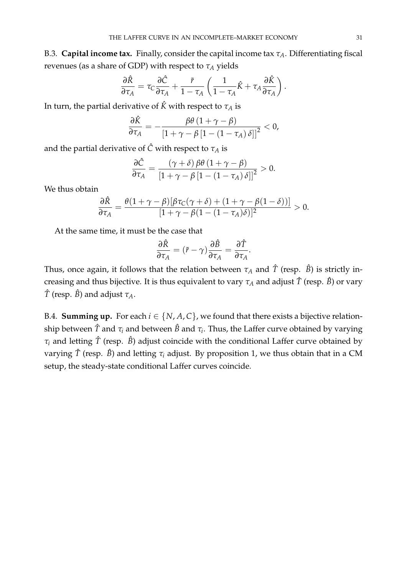B.3. **Capital income tax.** Finally, consider the capital income tax *τA*. Differentiating fiscal revenues (as a share of GDP) with respect to *τ<sup>A</sup>* yields

$$
\frac{\partial \hat{R}}{\partial \tau_A} = \tau_C \frac{\partial \hat{C}}{\partial \tau_A} + \frac{\tilde{r}}{1 - \tau_A} \left( \frac{1}{1 - \tau_A} \hat{K} + \tau_A \frac{\partial \hat{K}}{\partial \tau_A} \right).
$$

In turn, the partial derivative of  $\hat{K}$  with respect to  $\tau_A$  is

$$
\frac{\partial \hat{K}}{\partial \tau_A} = -\frac{\beta \theta \left(1 + \gamma - \beta\right)}{\left[1 + \gamma - \beta \left[1 - \left(1 - \tau_A\right) \delta\right]\right]^2} < 0,
$$

and the partial derivative of  $\hat{C}$  with respect to  $\tau_A$  is

$$
\frac{\partial \hat{C}}{\partial \tau_A} = \frac{(\gamma + \delta) \beta \theta (1 + \gamma - \beta)}{[1 + \gamma - \beta [1 - (1 - \tau_A) \delta]]^2} > 0.
$$

We thus obtain

$$
\frac{\partial \hat{R}}{\partial \tau_A} = \frac{\theta(1+\gamma-\beta)[\beta\tau_C(\gamma+\delta)+(1+\gamma-\beta(1-\delta))]}{[1+\gamma-\beta(1-(1-\tau_A)\delta)]^2} > 0.
$$

At the same time, it must be the case that

$$
\frac{\partial \hat{R}}{\partial \tau_A} = (\tilde{r} - \gamma) \frac{\partial \hat{B}}{\partial \tau_A} = \frac{\partial \hat{T}}{\partial \tau_A}.
$$

Thus, once again, it follows that the relation between  $\tau_A$  and  $\hat{T}$  (resp.  $\hat{B}$ ) is strictly increasing and thus bijective. It is thus equivalent to vary  $\tau_A$  and adjust  $\hat{T}$  (resp.  $\hat{B}$ ) or vary  $\hat{T}$  (resp.  $\hat{B}$ ) and adjust  $\tau_A$ .

B.4. **Summing up.** For each  $i \in \{N, A, C\}$ , we found that there exists a bijective relation- $\sinh p$  between  $\hat{T}$  and  $\tau_i$  and between  $\hat{B}$  and  $\tau_i$ . Thus, the Laffer curve obtained by varying  $\tau$ <sup>*i*</sup> and letting  $\hat{T}$  (resp.  $\hat{B}$ ) adjust coincide with the conditional Laffer curve obtained by varying *T*ˆ (resp. *B*ˆ) and letting *τ<sup>i</sup>* adjust. By proposition 1, we thus obtain that in a CM setup, the steady-state conditional Laffer curves coincide.